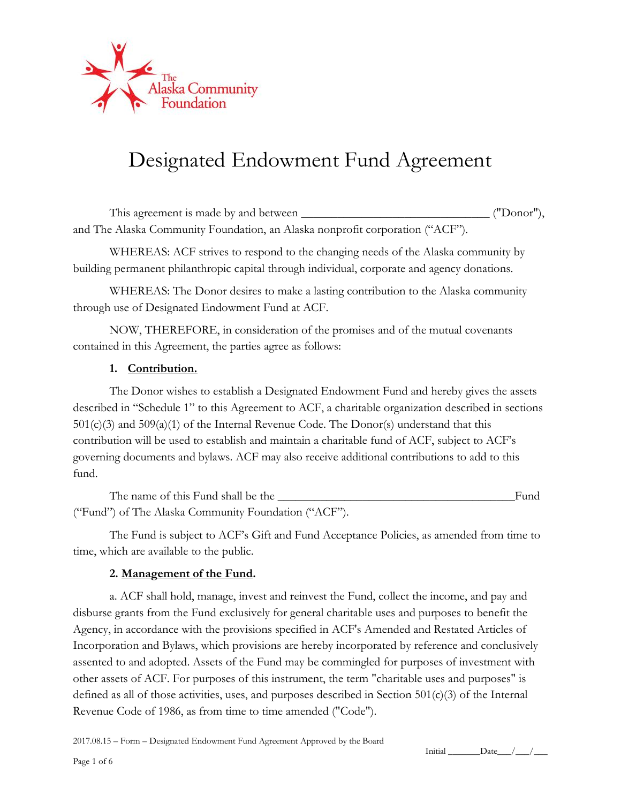

# Designated Endowment Fund Agreement

This agreement is made by and between This agreement is made by and between  $($ "Donor"), and The Alaska Community Foundation, an Alaska nonprofit corporation ("ACF").

WHEREAS: ACF strives to respond to the changing needs of the Alaska community by building permanent philanthropic capital through individual, corporate and agency donations.

WHEREAS: The Donor desires to make a lasting contribution to the Alaska community through use of Designated Endowment Fund at ACF.

NOW, THEREFORE, in consideration of the promises and of the mutual covenants contained in this Agreement, the parties agree as follows:

### **1. Contribution.**

The Donor wishes to establish a Designated Endowment Fund and hereby gives the assets described in "Schedule 1" to this Agreement to ACF, a charitable organization described in sections  $501(c)(3)$  and  $509(a)(1)$  of the Internal Revenue Code. The Donor(s) understand that this contribution will be used to establish and maintain a charitable fund of ACF, subject to ACF's governing documents and bylaws. ACF may also receive additional contributions to add to this fund.

The name of this Fund shall be the \_\_\_\_\_\_\_\_\_\_\_\_\_\_\_\_\_\_\_\_\_\_\_\_\_\_\_\_\_\_\_\_\_\_\_\_\_\_\_Fund ("Fund") of The Alaska Community Foundation ("ACF").

The Fund is subject to ACF's Gift and Fund Acceptance Policies, as amended from time to time, which are available to the public.

### **2. Management of the Fund.**

a. ACF shall hold, manage, invest and reinvest the Fund, collect the income, and pay and disburse grants from the Fund exclusively for general charitable uses and purposes to benefit the Agency, in accordance with the provisions specified in ACF's Amended and Restated Articles of Incorporation and Bylaws, which provisions are hereby incorporated by reference and conclusively assented to and adopted. Assets of the Fund may be commingled for purposes of investment with other assets of ACF. For purposes of this instrument, the term "charitable uses and purposes" is defined as all of those activities, uses, and purposes described in Section  $501(c)(3)$  of the Internal Revenue Code of 1986, as from time to time amended ("Code").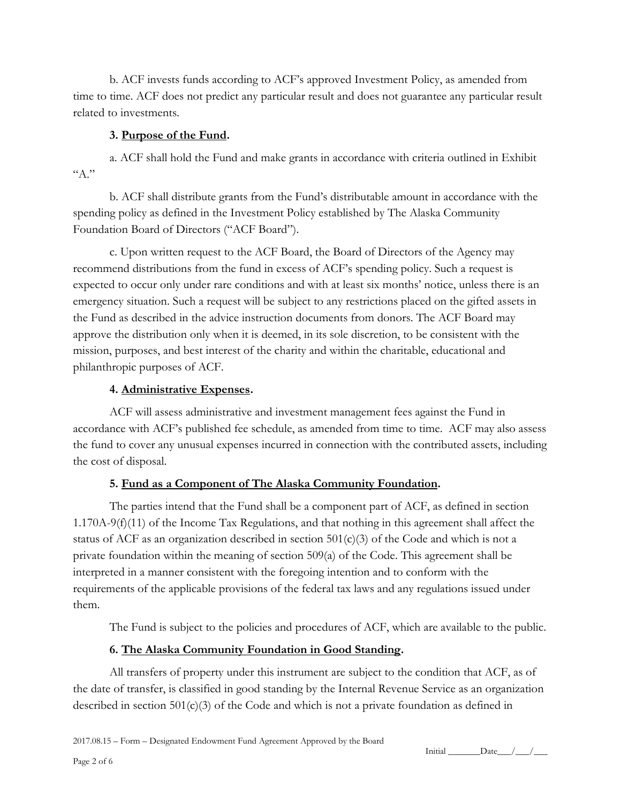b. ACF invests funds according to ACF's approved Investment Policy, as amended from time to time. ACF does not predict any particular result and does not guarantee any particular result related to investments.

# **3. Purpose of the Fund.**

a. ACF shall hold the Fund and make grants in accordance with criteria outlined in Exhibit  $A$ ."

b. ACF shall distribute grants from the Fund's distributable amount in accordance with the spending policy as defined in the Investment Policy established by The Alaska Community Foundation Board of Directors ("ACF Board").

c. Upon written request to the ACF Board, the Board of Directors of the Agency may recommend distributions from the fund in excess of ACF's spending policy. Such a request is expected to occur only under rare conditions and with at least six months' notice, unless there is an emergency situation. Such a request will be subject to any restrictions placed on the gifted assets in the Fund as described in the advice instruction documents from donors. The ACF Board may approve the distribution only when it is deemed, in its sole discretion, to be consistent with the mission, purposes, and best interest of the charity and within the charitable, educational and philanthropic purposes of ACF.

# **4. Administrative Expenses.**

ACF will assess administrative and investment management fees against the Fund in accordance with ACF's published fee schedule, as amended from time to time. ACF may also assess the fund to cover any unusual expenses incurred in connection with the contributed assets, including the cost of disposal.

# **5. Fund as a Component of The Alaska Community Foundation.**

The parties intend that the Fund shall be a component part of ACF, as defined in section 1.170A-9(f)(11) of the Income Tax Regulations, and that nothing in this agreement shall affect the status of ACF as an organization described in section  $501(c)(3)$  of the Code and which is not a private foundation within the meaning of section 509(a) of the Code. This agreement shall be interpreted in a manner consistent with the foregoing intention and to conform with the requirements of the applicable provisions of the federal tax laws and any regulations issued under them.

The Fund is subject to the policies and procedures of ACF, which are available to the public.

# **6. The Alaska Community Foundation in Good Standing.**

All transfers of property under this instrument are subject to the condition that ACF, as of the date of transfer, is classified in good standing by the Internal Revenue Service as an organization described in section  $501(c)(3)$  of the Code and which is not a private foundation as defined in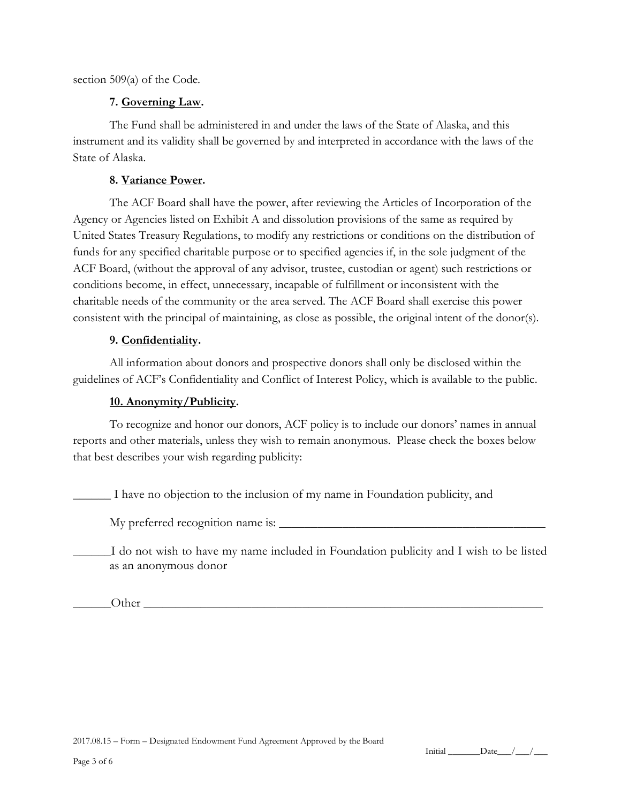section 509(a) of the Code.

### **7. Governing Law.**

The Fund shall be administered in and under the laws of the State of Alaska, and this instrument and its validity shall be governed by and interpreted in accordance with the laws of the State of Alaska.

## **8. Variance Power.**

The ACF Board shall have the power, after reviewing the Articles of Incorporation of the Agency or Agencies listed on Exhibit A and dissolution provisions of the same as required by United States Treasury Regulations, to modify any restrictions or conditions on the distribution of funds for any specified charitable purpose or to specified agencies if, in the sole judgment of the ACF Board, (without the approval of any advisor, trustee, custodian or agent) such restrictions or conditions become, in effect, unnecessary, incapable of fulfillment or inconsistent with the charitable needs of the community or the area served. The ACF Board shall exercise this power consistent with the principal of maintaining, as close as possible, the original intent of the donor(s).

# **9. Confidentiality.**

All information about donors and prospective donors shall only be disclosed within the guidelines of ACF's Confidentiality and Conflict of Interest Policy, which is available to the public.

# **10. Anonymity/Publicity.**

To recognize and honor our donors, ACF policy is to include our donors' names in annual reports and other materials, unless they wish to remain anonymous. Please check the boxes below that best describes your wish regarding publicity:

\_\_\_\_\_\_ I have no objection to the inclusion of my name in Foundation publicity, and

My preferred recognition name is: \_\_\_\_\_\_\_\_\_\_\_\_\_\_\_\_\_\_\_\_\_\_\_\_\_\_\_\_\_\_\_\_\_\_\_\_\_\_\_\_\_\_

\_\_\_\_\_\_I do not wish to have my name included in Foundation publicity and I wish to be listed as an anonymous donor

Other  $\Box$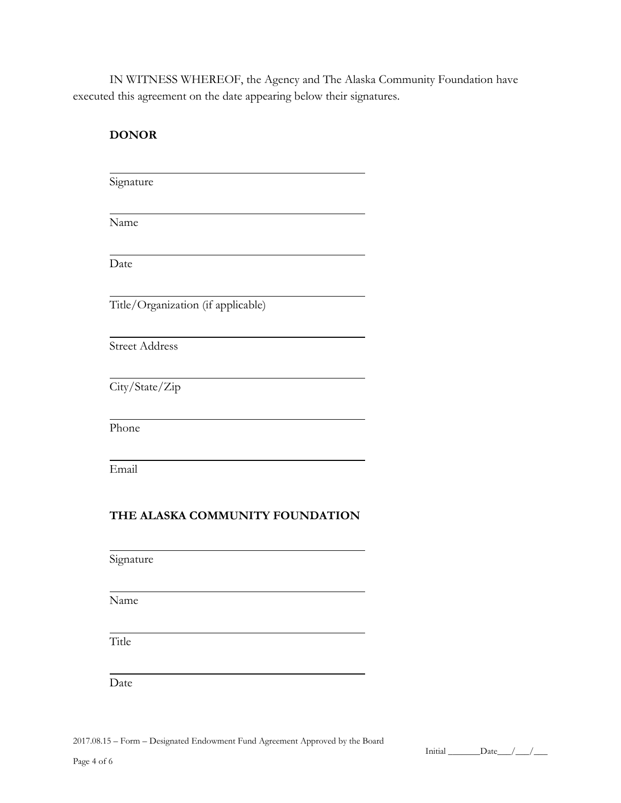IN WITNESS WHEREOF, the Agency and The Alaska Community Foundation have executed this agreement on the date appearing below their signatures.

| <b>DONOR</b>          |                                    |
|-----------------------|------------------------------------|
| Signature             |                                    |
| Name                  |                                    |
| Date                  |                                    |
|                       | Title/Organization (if applicable) |
| <b>Street Address</b> |                                    |
| City/State/Zip        |                                    |
| Phone                 |                                    |
| Email                 |                                    |
|                       | THE ALASKA COMMUNITY FOUNDATION    |
| Signature             |                                    |
| Name                  |                                    |
| Title                 |                                    |
| Date                  |                                    |

2017.08.15 – Form – Designated Endowment Fund Agreement Approved by the Board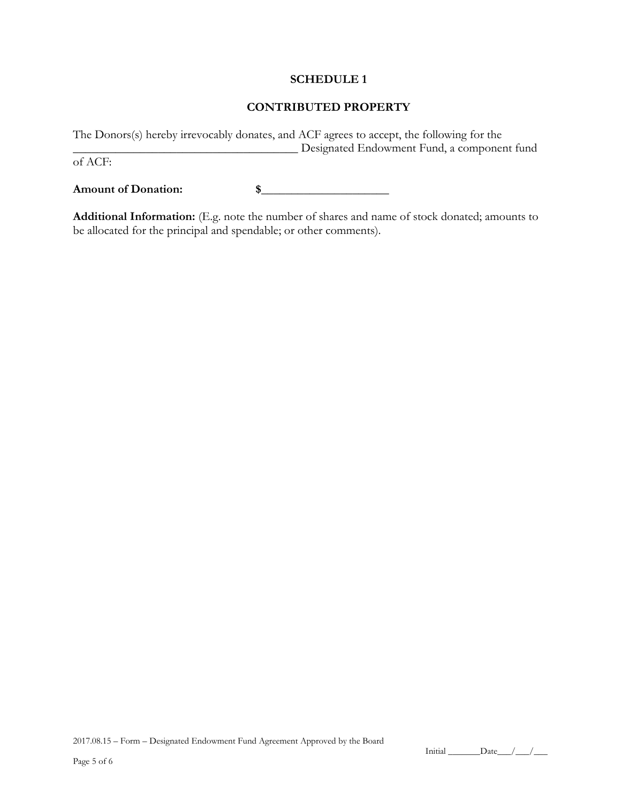#### **SCHEDULE 1**

#### **CONTRIBUTED PROPERTY**

The Donors(s) hereby irrevocably donates, and ACF agrees to accept, the following for the \_\_\_\_\_\_\_\_\_\_\_\_\_\_\_\_\_\_\_\_\_\_\_\_\_\_\_\_\_\_\_\_\_\_\_\_\_ Designated Endowment Fund, a component fund of ACF:

**Amount of Donation: \$**\_\_\_\_\_\_\_\_\_\_\_\_\_\_\_\_\_\_\_\_\_

**Additional Information:** (E.g. note the number of shares and name of stock donated; amounts to be allocated for the principal and spendable; or other comments).